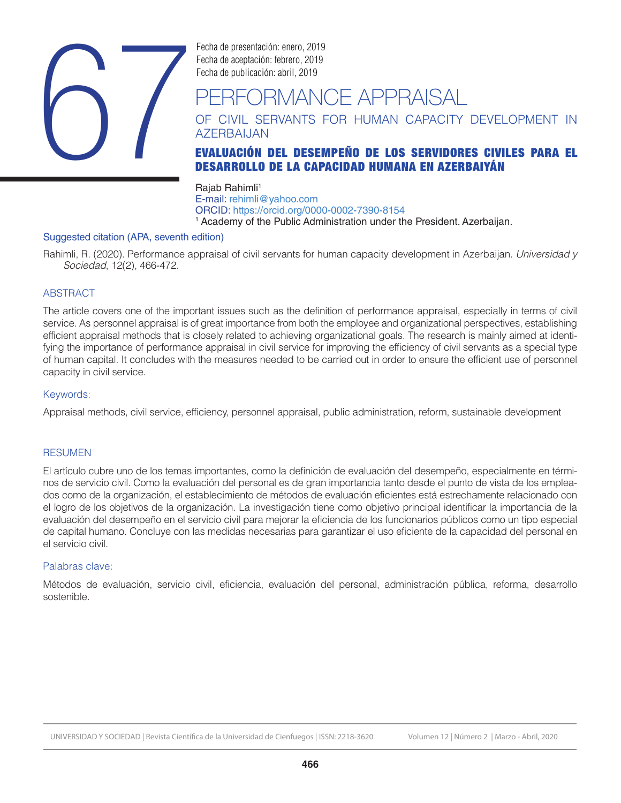

Fecha de presentación: enero, 2019 Fecha de aceptación: febrero, 2019

# ERFORMANCE APPRAISAL

OF CIVIL SERVANTS FOR HUMAN CAPACITY DEVELOPMENT IN AZERBAIJAN

# DESARROLLO DE LA CAPACIDAD HUMANA EN AZERBAIYÁN

Rajab Rahimli<sup>1</sup> E-mail: rehimli@yahoo.com ORCID: https://orcid.org/0000-0002-7390-8154 <sup>1</sup> Academy of the Public Administration under the President. Azerbaijan.

#### Suggested citation (APA, seventh edition)

Rahimli, R. (2020). Performance appraisal of civil servants for human capacity development in Azerbaijan. *Universidad y Sociedad*, 12(2), 466-472.

# **ABSTRACT**

The article covers one of the important issues such as the definition of performance appraisal, especially in terms of civil service. As personnel appraisal is of great importance from both the employee and organizational perspectives, establishing efficient appraisal methods that is closely related to achieving organizational goals. The research is mainly aimed at identifying the importance of performance appraisal in civil service for improving the efficiency of civil servants as a special type of human capital. It concludes with the measures needed to be carried out in order to ensure the efficient use of personnel capacity in civil service.

#### Keywords:

Appraisal methods, civil service, efficiency, personnel appraisal, public administration, reform, sustainable development

#### RESUMEN

El artículo cubre uno de los temas importantes, como la definición de evaluación del desempeño, especialmente en términos de servicio civil. Como la evaluación del personal es de gran importancia tanto desde el punto de vista de los empleados como de la organización, el establecimiento de métodos de evaluación eficientes está estrechamente relacionado con el logro de los objetivos de la organización. La investigación tiene como objetivo principal identificar la importancia de la evaluación del desempeño en el servicio civil para mejorar la eficiencia de los funcionarios públicos como un tipo especial de capital humano. Concluye con las medidas necesarias para garantizar el uso eficiente de la capacidad del personal en el servicio civil.

#### Palabras clave:

Métodos de evaluación, servicio civil, eficiencia, evaluación del personal, administración pública, reforma, desarrollo sostenible.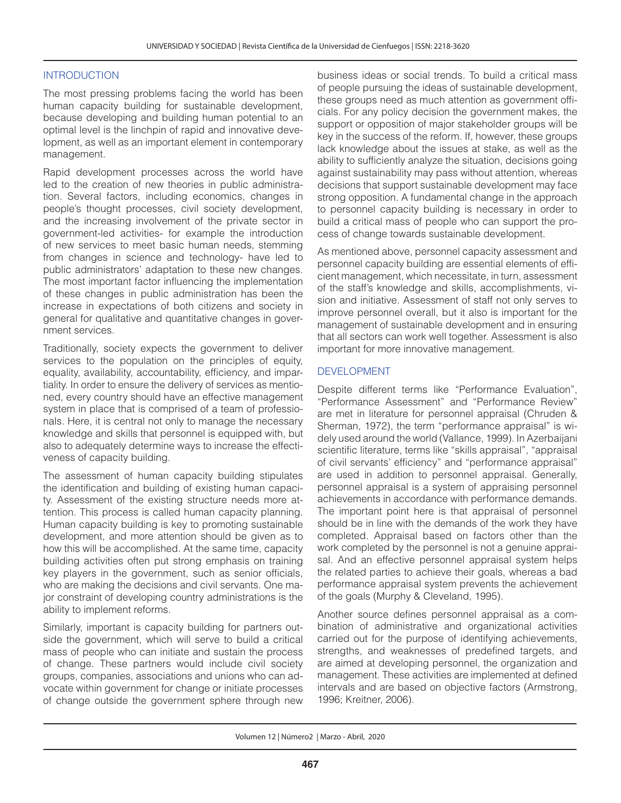#### INTRODUCTION

The most pressing problems facing the world has been human capacity building for sustainable development, because developing and building human potential to an optimal level is the linchpin of rapid and innovative development, as well as an important element in contemporary management.

Rapid development processes across the world have led to the creation of new theories in public administration. Several factors, including economics, changes in people's thought processes, civil society development, and the increasing involvement of the private sector in government-led activities- for example the introduction of new services to meet basic human needs, stemming from changes in science and technology- have led to public administrators' adaptation to these new changes. The most important factor influencing the implementation of these changes in public administration has been the increase in expectations of both citizens and society in general for qualitative and quantitative changes in government services.

Traditionally, society expects the government to deliver services to the population on the principles of equity, equality, availability, accountability, efficiency, and impartiality. In order to ensure the delivery of services as mentioned, every country should have an effective management system in place that is comprised of a team of professionals. Here, it is central not only to manage the necessary knowledge and skills that personnel is equipped with, but also to adequately determine ways to increase the effectiveness of capacity building.

The assessment of human capacity building stipulates the identification and building of existing human capacity. Assessment of the existing structure needs more attention. This process is called human capacity planning. Human capacity building is key to promoting sustainable development, and more attention should be given as to how this will be accomplished. At the same time, capacity building activities often put strong emphasis on training key players in the government, such as senior officials, who are making the decisions and civil servants. One major constraint of developing country administrations is the ability to implement reforms.

Similarly, important is capacity building for partners outside the government, which will serve to build a critical mass of people who can initiate and sustain the process of change. These partners would include civil society groups, companies, associations and unions who can advocate within government for change or initiate processes of change outside the government sphere through new business ideas or social trends. To build a critical mass of people pursuing the ideas of sustainable development, these groups need as much attention as government officials. For any policy decision the government makes, the support or opposition of major stakeholder groups will be key in the success of the reform. If, however, these groups lack knowledge about the issues at stake, as well as the ability to sufficiently analyze the situation, decisions going against sustainability may pass without attention, whereas decisions that support sustainable development may face strong opposition. A fundamental change in the approach to personnel capacity building is necessary in order to build a critical mass of people who can support the process of change towards sustainable development.

As mentioned above, personnel capacity assessment and personnel capacity building are essential elements of efficient management, which necessitate, in turn, assessment of the staff's knowledge and skills, accomplishments, vision and initiative. Assessment of staff not only serves to improve personnel overall, but it also is important for the management of sustainable development and in ensuring that all sectors can work well together. Assessment is also important for more innovative management.

#### DEVELOPMENT

Despite different terms like "Performance Evaluation", "Performance Assessment" and "Performance Review" are met in literature for personnel appraisal (Chruden & Sherman, 1972), the term "performance appraisal" is widely used around the world (Vallance, 1999). In Azerbaijani scientific literature, terms like "skills appraisal", "appraisal of civil servants' efficiency" and "performance appraisal" are used in addition to personnel appraisal. Generally, personnel appraisal is a system of appraising personnel achievements in accordance with performance demands. The important point here is that appraisal of personnel should be in line with the demands of the work they have completed. Appraisal based on factors other than the work completed by the personnel is not a genuine appraisal. And an effective personnel appraisal system helps the related parties to achieve their goals, whereas a bad performance appraisal system prevents the achievement of the goals (Murphy & Cleveland, 1995).

Another source defines personnel appraisal as a combination of administrative and organizational activities carried out for the purpose of identifying achievements, strengths, and weaknesses of predefined targets, and are aimed at developing personnel, the organization and management. These activities are implemented at defined intervals and are based on objective factors (Armstrong, 1996; Kreitner, 2006).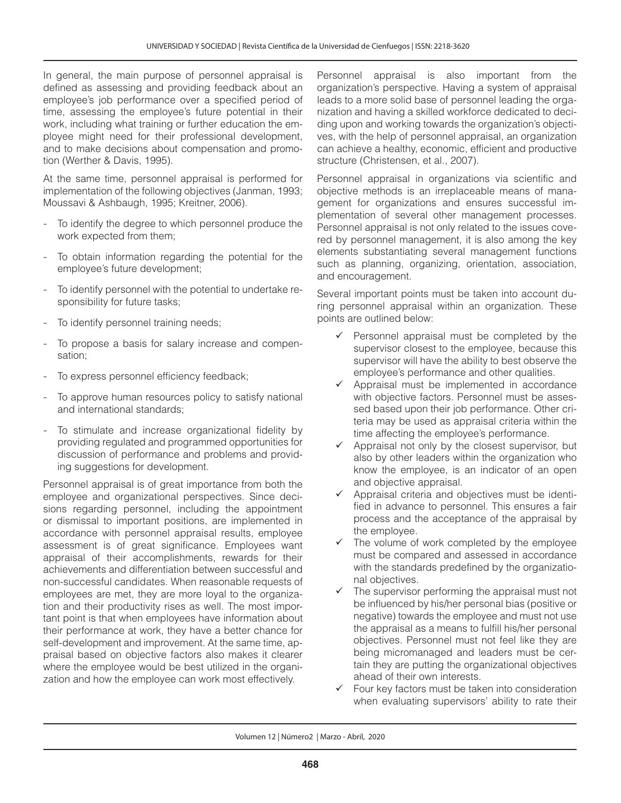In general, the main purpose of personnel appraisal is defined as assessing and providing feedback about an employee's job performance over a specified period of time, assessing the employee's future potential in their work, including what training or further education the employee might need for their professional development, and to make decisions about compensation and promotion (Werther & Davis, 1995).

At the same time, personnel appraisal is performed for implementation of the following objectives (Janman, 1993; Moussavi & Ashbaugh, 1995; Kreitner, 2006).

- To identify the degree to which personnel produce the work expected from them;
- To obtain information regarding the potential for the employee's future development;
- To identify personnel with the potential to undertake responsibility for future tasks;
- To identify personnel training needs;
- To propose a basis for salary increase and compensation;
- To express personnel efficiency feedback;
- To approve human resources policy to satisfy national and international standards;
- To stimulate and increase organizational fidelity by providing regulated and programmed opportunities for discussion of performance and problems and providing suggestions for development.

Personnel appraisal is of great importance from both the employee and organizational perspectives. Since decisions regarding personnel, including the appointment or dismissal to important positions, are implemented in accordance with personnel appraisal results, employee assessment is of great significance. Employees want appraisal of their accomplishments, rewards for their achievements and differentiation between successful and non-successful candidates. When reasonable requests of employees are met, they are more loyal to the organization and their productivity rises as well. The most important point is that when employees have information about their performance at work, they have a better chance for self-development and improvement. At the same time, appraisal based on objective factors also makes it clearer where the employee would be best utilized in the organization and how the employee can work most effectively.

Personnel appraisal is also important from the organization's perspective. Having a system of appraisal leads to a more solid base of personnel leading the organization and having a skilled workforce dedicated to deciding upon and working towards the organization's objectives, with the help of personnel appraisal, an organization can achieve a healthy, economic, efficient and productive structure (Christensen, et al., 2007).

Personnel appraisal in organizations via scientific and objective methods is an irreplaceable means of management for organizations and ensures successful implementation of several other management processes. Personnel appraisal is not only related to the issues covered by personnel management, it is also among the key elements substantiating several management functions such as planning, organizing, orientation, association, and encouragement.

Several important points must be taken into account during personnel appraisal within an organization. These points are outlined below:

- $\checkmark$  Personnel appraisal must be completed by the supervisor closest to the employee, because this supervisor will have the ability to best observe the employee's performance and other qualities.
- $\checkmark$  Appraisal must be implemented in accordance with objective factors. Personnel must be assessed based upon their job performance. Other criteria may be used as appraisal criteria within the time affecting the employee's performance.
- $\checkmark$  Appraisal not only by the closest supervisor, but also by other leaders within the organization who know the employee, is an indicator of an open and objective appraisal.
- $\checkmark$  Appraisal criteria and objectives must be identified in advance to personnel. This ensures a fair process and the acceptance of the appraisal by the employee.
- $\checkmark$  The volume of work completed by the employee must be compared and assessed in accordance with the standards predefined by the organizational objectives.
- The supervisor performing the appraisal must not be influenced by his/her personal bias (positive or negative) towards the employee and must not use the appraisal as a means to fulfill his/her personal objectives. Personnel must not feel like they are being micromanaged and leaders must be certain they are putting the organizational objectives ahead of their own interests.
- $\checkmark$  Four key factors must be taken into consideration when evaluating supervisors' ability to rate their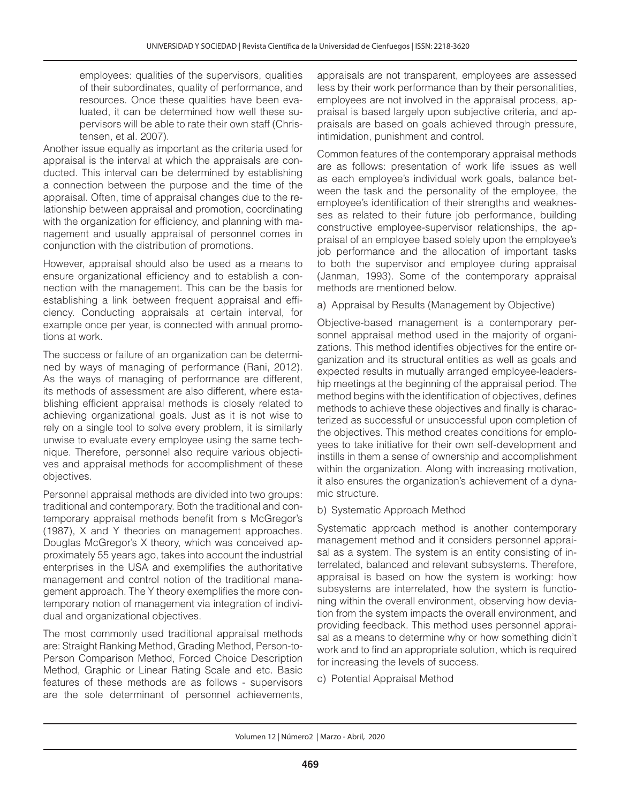employees: qualities of the supervisors, qualities of their subordinates, quality of performance, and resources. Once these qualities have been evaluated, it can be determined how well these supervisors will be able to rate their own staff (Christensen, et al. 2007).

Another issue equally as important as the criteria used for appraisal is the interval at which the appraisals are conducted. This interval can be determined by establishing a connection between the purpose and the time of the appraisal. Often, time of appraisal changes due to the relationship between appraisal and promotion, coordinating with the organization for efficiency, and planning with management and usually appraisal of personnel comes in conjunction with the distribution of promotions.

However, appraisal should also be used as a means to ensure organizational efficiency and to establish a connection with the management. This can be the basis for establishing a link between frequent appraisal and efficiency. Conducting appraisals at certain interval, for example once per year, is connected with annual promotions at work.

The success or failure of an organization can be determined by ways of managing of performance (Rani, 2012). As the ways of managing of performance are different, its methods of assessment are also different, where establishing efficient appraisal methods is closely related to achieving organizational goals. Just as it is not wise to rely on a single tool to solve every problem, it is similarly unwise to evaluate every employee using the same technique. Therefore, personnel also require various objectives and appraisal methods for accomplishment of these objectives.

Personnel appraisal methods are divided into two groups: traditional and contemporary. Both the traditional and contemporary appraisal methods benefit from s McGregor's (1987), X and Y theories on management approaches. Douglas McGregor's X theory, which was conceived approximately 55 years ago, takes into account the industrial enterprises in the USA and exemplifies the authoritative management and control notion of the traditional management approach. The Y theory exemplifies the more contemporary notion of management via integration of individual and organizational objectives.

The most commonly used traditional appraisal methods are: Straight Ranking Method, Grading Method, Person-to-Person Comparison Method, Forced Choice Description Method, Graphic or Linear Rating Scale and etc. Basic features of these methods are as follows - supervisors are the sole determinant of personnel achievements,

appraisals are not transparent, employees are assessed less by their work performance than by their personalities, employees are not involved in the appraisal process, appraisal is based largely upon subjective criteria, and appraisals are based on goals achieved through pressure, intimidation, punishment and control.

Common features of the contemporary appraisal methods are as follows: presentation of work life issues as well as each employee's individual work goals, balance between the task and the personality of the employee, the employee's identification of their strengths and weaknesses as related to their future job performance, building constructive employee-supervisor relationships, the appraisal of an employee based solely upon the employee's job performance and the allocation of important tasks to both the supervisor and employee during appraisal (Janman, 1993). Some of the contemporary appraisal methods are mentioned below.

a) Appraisal by Results (Management by Objective)

Objective-based management is a contemporary personnel appraisal method used in the majority of organizations. This method identifies objectives for the entire organization and its structural entities as well as goals and expected results in mutually arranged employee-leadership meetings at the beginning of the appraisal period. The method begins with the identification of objectives, defines methods to achieve these objectives and finally is characterized as successful or unsuccessful upon completion of the objectives. This method creates conditions for employees to take initiative for their own self-development and instills in them a sense of ownership and accomplishment within the organization. Along with increasing motivation, it also ensures the organization's achievement of a dynamic structure.

# b) Systematic Approach Method

Systematic approach method is another contemporary management method and it considers personnel appraisal as a system. The system is an entity consisting of interrelated, balanced and relevant subsystems. Therefore, appraisal is based on how the system is working: how subsystems are interrelated, how the system is functioning within the overall environment, observing how deviation from the system impacts the overall environment, and providing feedback. This method uses personnel appraisal as a means to determine why or how something didn't work and to find an appropriate solution, which is required for increasing the levels of success.

c) Potential Appraisal Method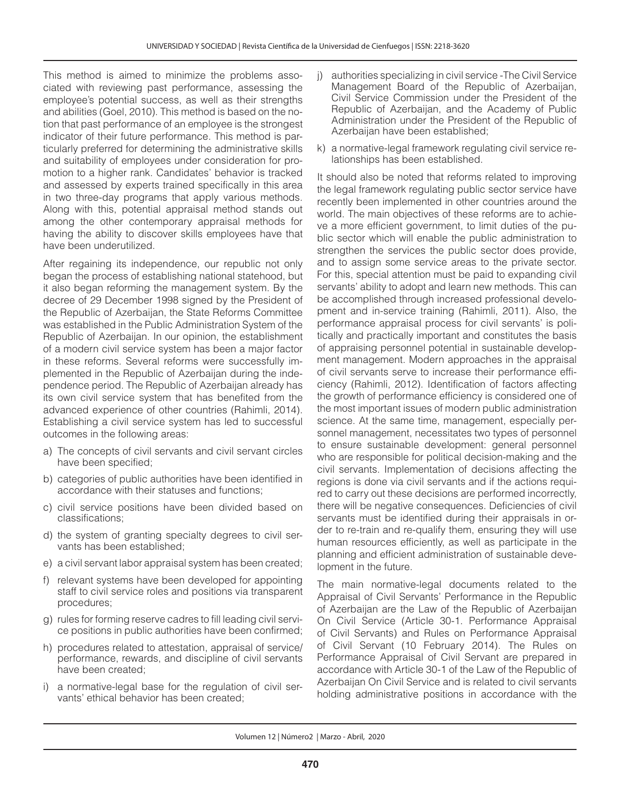This method is aimed to minimize the problems associated with reviewing past performance, assessing the employee's potential success, as well as their strengths and abilities (Goel, 2010). This method is based on the notion that past performance of an employee is the strongest indicator of their future performance. This method is particularly preferred for determining the administrative skills and suitability of employees under consideration for promotion to a higher rank. Candidates' behavior is tracked and assessed by experts trained specifically in this area in two three-day programs that apply various methods. Along with this, potential appraisal method stands out among the other contemporary appraisal methods for having the ability to discover skills employees have that have been underutilized.

After regaining its independence, our republic not only began the process of establishing national statehood, but it also began reforming the management system. By the decree of 29 December 1998 signed by the President of the Republic of Azerbaijan, the State Reforms Committee was established in the Public Administration System of the Republic of Azerbaijan. In our opinion, the establishment of a modern civil service system has been a major factor in these reforms. Several reforms were successfully implemented in the Republic of Azerbaijan during the independence period. The Republic of Azerbaijan already has its own civil service system that has benefited from the advanced experience of other countries (Rahimli, 2014). Establishing a civil service system has led to successful outcomes in the following areas:

- a) The concepts of civil servants and civil servant circles have been specified;
- b) categories of public authorities have been identified in accordance with their statuses and functions;
- c) civil service positions have been divided based on classifications;
- d) the system of granting specialty degrees to civil servants has been established;
- e) a civil servant labor appraisal system has been created;
- f) relevant systems have been developed for appointing staff to civil service roles and positions via transparent procedures;
- g) rules for forming reserve cadres to fill leading civil service positions in public authorities have been confirmed;
- h) procedures related to attestation, appraisal of service/ performance, rewards, and discipline of civil servants have been created;
- i) a normative-legal base for the regulation of civil servants' ethical behavior has been created;
- j) authorities specializing in civil service -The Civil Service Management Board of the Republic of Azerbaijan, Civil Service Commission under the President of the Republic of Azerbaijan, and the Academy of Public Administration under the President of the Republic of Azerbaijan have been established;
- k) a normative-legal framework regulating civil service relationships has been established.

It should also be noted that reforms related to improving the legal framework regulating public sector service have recently been implemented in other countries around the world. The main objectives of these reforms are to achieve a more efficient government, to limit duties of the public sector which will enable the public administration to strengthen the services the public sector does provide, and to assign some service areas to the private sector. For this, special attention must be paid to expanding civil servants' ability to adopt and learn new methods. This can be accomplished through increased professional development and in-service training (Rahimli, 2011). Also, the performance appraisal process for civil servants' is politically and practically important and constitutes the basis of appraising personnel potential in sustainable development management. Modern approaches in the appraisal of civil servants serve to increase their performance efficiency (Rahimli, 2012). Identification of factors affecting the growth of performance efficiency is considered one of the most important issues of modern public administration science. At the same time, management, especially personnel management, necessitates two types of personnel to ensure sustainable development: general personnel who are responsible for political decision-making and the civil servants. Implementation of decisions affecting the regions is done via civil servants and if the actions required to carry out these decisions are performed incorrectly, there will be negative consequences. Deficiencies of civil servants must be identified during their appraisals in order to re-train and re-qualify them, ensuring they will use human resources efficiently, as well as participate in the planning and efficient administration of sustainable development in the future.

The main normative-legal documents related to the Appraisal of Civil Servants' Performance in the Republic of Azerbaijan are the Law of the Republic of Azerbaijan On Civil Service (Article 30-1. Performance Appraisal of Civil Servants) and Rules on Performance Appraisal of Civil Servant (10 February 2014). The Rules on Performance Appraisal of Civil Servant are prepared in accordance with Article 30-1 of the Law of the Republic of Azerbaijan On Civil Service and is related to civil servants holding administrative positions in accordance with the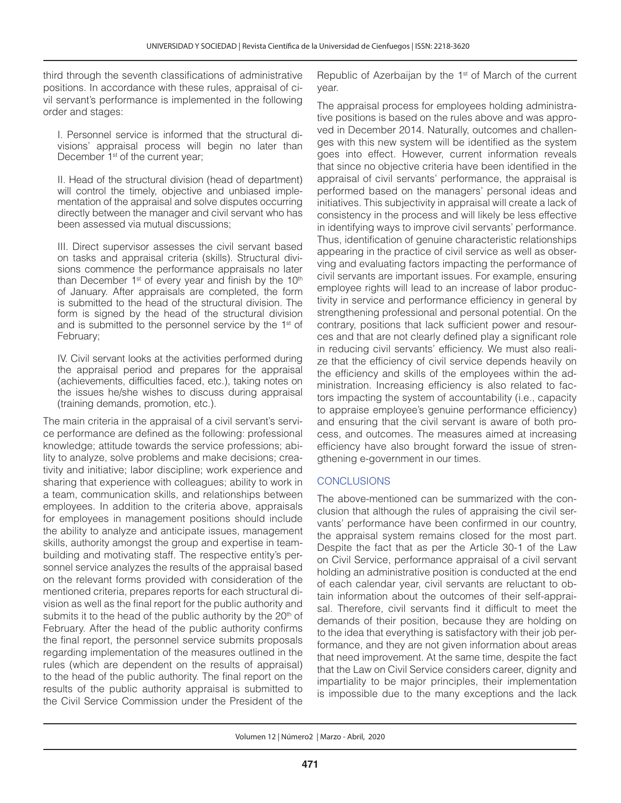third through the seventh classifications of administrative positions. In accordance with these rules, appraisal of civil servant's performance is implemented in the following order and stages:

I. Personnel service is informed that the structural divisions' appraisal process will begin no later than December 1<sup>st</sup> of the current year;

II. Head of the structural division (head of department) will control the timely, objective and unbiased implementation of the appraisal and solve disputes occurring directly between the manager and civil servant who has been assessed via mutual discussions;

III. Direct supervisor assesses the civil servant based on tasks and appraisal criteria (skills). Structural divisions commence the performance appraisals no later than December  $1<sup>st</sup>$  of every year and finish by the  $10<sup>th</sup>$ of January. After appraisals are completed, the form is submitted to the head of the structural division. The form is signed by the head of the structural division and is submitted to the personnel service by the 1<sup>st</sup> of February;

IV. Civil servant looks at the activities performed during the appraisal period and prepares for the appraisal (achievements, difficulties faced, etc.), taking notes on the issues he/she wishes to discuss during appraisal (training demands, promotion, etc.).

The main criteria in the appraisal of a civil servant's service performance are defined as the following: professional knowledge; attitude towards the service professions; ability to analyze, solve problems and make decisions; creativity and initiative; labor discipline; work experience and sharing that experience with colleagues; ability to work in a team, communication skills, and relationships between employees. In addition to the criteria above, appraisals for employees in management positions should include the ability to analyze and anticipate issues, management skills, authority amongst the group and expertise in teambuilding and motivating staff. The respective entity's personnel service analyzes the results of the appraisal based on the relevant forms provided with consideration of the mentioned criteria, prepares reports for each structural division as well as the final report for the public authority and submits it to the head of the public authority by the  $20<sup>th</sup>$  of February. After the head of the public authority confirms the final report, the personnel service submits proposals regarding implementation of the measures outlined in the rules (which are dependent on the results of appraisal) to the head of the public authority. The final report on the results of the public authority appraisal is submitted to the Civil Service Commission under the President of the

Republic of Azerbaijan by the  $1<sup>st</sup>$  of March of the current year.

The appraisal process for employees holding administrative positions is based on the rules above and was approved in December 2014. Naturally, outcomes and challenges with this new system will be identified as the system goes into effect. However, current information reveals that since no objective criteria have been identified in the appraisal of civil servants' performance, the appraisal is performed based on the managers' personal ideas and initiatives. This subjectivity in appraisal will create a lack of consistency in the process and will likely be less effective in identifying ways to improve civil servants' performance. Thus, identification of genuine characteristic relationships appearing in the practice of civil service as well as observing and evaluating factors impacting the performance of civil servants are important issues. For example, ensuring employee rights will lead to an increase of labor productivity in service and performance efficiency in general by strengthening professional and personal potential. On the contrary, positions that lack sufficient power and resources and that are not clearly defined play a significant role in reducing civil servants' efficiency. We must also realize that the efficiency of civil service depends heavily on the efficiency and skills of the employees within the administration. Increasing efficiency is also related to factors impacting the system of accountability (i.e., capacity to appraise employee's genuine performance efficiency) and ensuring that the civil servant is aware of both process, and outcomes. The measures aimed at increasing efficiency have also brought forward the issue of strengthening e-government in our times.

# **CONCLUSIONS**

The above-mentioned can be summarized with the conclusion that although the rules of appraising the civil servants' performance have been confirmed in our country, the appraisal system remains closed for the most part. Despite the fact that as per the Article 30-1 of the Law on Civil Service, performance appraisal of a civil servant holding an administrative position is conducted at the end of each calendar year, civil servants are reluctant to obtain information about the outcomes of their self-appraisal. Therefore, civil servants find it difficult to meet the demands of their position, because they are holding on to the idea that everything is satisfactory with their job performance, and they are not given information about areas that need improvement. At the same time, despite the fact that the Law on Civil Service considers career, dignity and impartiality to be major principles, their implementation is impossible due to the many exceptions and the lack